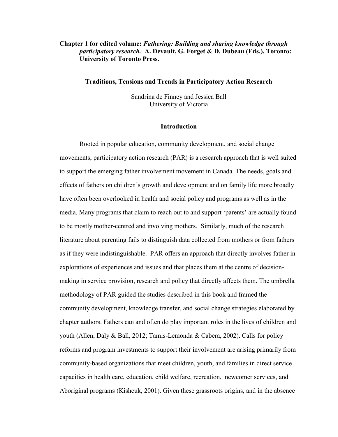# **Chapter 1 for edited volume:** *Fathering: Building and sharing knowledge through participatory research.* **A. Devault, G. Forget & D. Dubeau (Eds.). Toronto: University of Toronto Press.**

### **Traditions, Tensions and Trends in Participatory Action Research**

Sandrina de Finney and Jessica Ball University of Victoria

#### **Introduction**

Rooted in popular education, community development, and social change movements, participatory action research (PAR) is a research approach that is well suited to support the emerging father involvement movement in Canada. The needs, goals and effects of fathers on children's growth and development and on family life more broadly have often been overlooked in health and social policy and programs as well as in the media. Many programs that claim to reach out to and support 'parents' are actually found to be mostly mother-centred and involving mothers. Similarly, much of the research literature about parenting fails to distinguish data collected from mothers or from fathers as if they were indistinguishable. PAR offers an approach that directly involves father in explorations of experiences and issues and that places them at the centre of decisionmaking in service provision, research and policy that directly affects them. The umbrella methodology of PAR guided the studies described in this book and framed the community development, knowledge transfer, and social change strategies elaborated by chapter authors. Fathers can and often do play important roles in the lives of children and youth (Allen, Daly & Ball, 2012; Tamis-Lemonda & Cabera, 2002). Calls for policy reforms and program investments to support their involvement are arising primarily from community-based organizations that meet children, youth, and families in direct service capacities in health care, education, child welfare, recreation, newcomer services, and Aboriginal programs (Kishcuk, 2001). Given these grassroots origins, and in the absence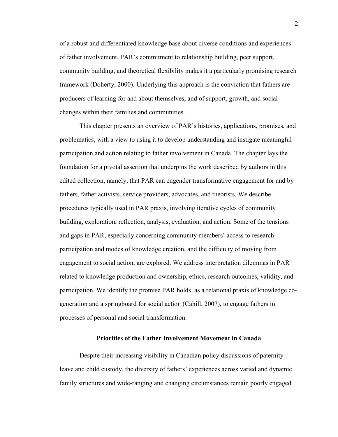of a robust and differentiated knowledge base about diverse conditions and experiences of father involvement, PAR's commitment to relationship building, peer support, community building, and theoretical flexibility makes it a particularly promising research framework (Doherty, 2000). Underlying this approach is the conviction that fathers are producers of learning for and about themselves, and of support, growth, and social changes within their families and communities.

This chapter presents an overview of PAR's histories, applications, promises, and problematics, with a view to using it to develop understanding and instigate meaningful participation and action relating to father involvement in Canada. The chapter lays the foundation for a pivotal assertion that underpins the work described by authors in this edited collection, namely, that PAR can engender transformative engagement for and by fathers, father activists, service providers, advocates, and theorists. We describe procedures typically used in PAR praxis, involving iterative cycles of community building, exploration, reflection, analysis, evaluation, and action. Some of the tensions and gaps in PAR, especially concerning community members' access to research participation and modes of knowledge creation, and the difficulty of moving from engagement to social action, are explored. We address interpretation dilemmas in PAR related to knowledge production and ownership, ethics, research outcomes, validity, and participation. We identify the promise PAR holds, as a relational praxis of knowledge cogeneration and a springboard for social action (Cahill, 2007), to engage fathers in processes of personal and social transformation.

## **Priorities of the Father Involvement Movement in Canada**

Despite their increasing visibility in Canadian policy discussions of paternity leave and child custody, the diversity of fathers' experiences across varied and dynamic family structures and wide-ranging and changing circumstances remain poorly engaged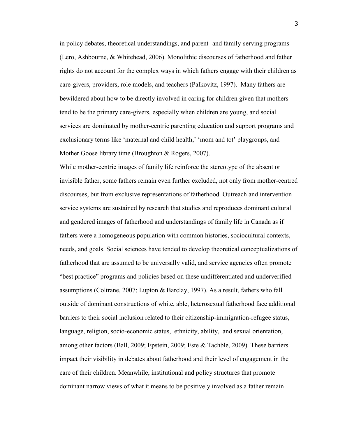in policy debates, theoretical understandings, and parent- and family-serving programs (Lero, Ashbourne, & Whitehead, 2006). Monolithic discourses of fatherhood and father rights do not account for the complex ways in which fathers engage with their children as care-givers, providers, role models, and teachers (Palkovitz, 1997). Many fathers are bewildered about how to be directly involved in caring for children given that mothers tend to be the primary care-givers, especially when children are young, and social services are dominated by mother-centric parenting education and support programs and exclusionary terms like 'maternal and child health,' 'mom and tot' playgroups, and Mother Goose library time (Broughton & Rogers, 2007).

While mother-centric images of family life reinforce the stereotype of the absent or invisible father, some fathers remain even further excluded, not only from mother-centred discourses, but from exclusive representations of fatherhood. Outreach and intervention service systems are sustained by research that studies and reproduces dominant cultural and gendered images of fatherhood and understandings of family life in Canada as if fathers were a homogeneous population with common histories, sociocultural contexts, needs, and goals. Social sciences have tended to develop theoretical conceptualizations of fatherhood that are assumed to be universally valid, and service agencies often promote "best practice" programs and policies based on these undifferentiated and underverified assumptions (Coltrane, 2007; Lupton & Barclay, 1997). As a result, fathers who fall outside of dominant constructions of white, able, heterosexual fatherhood face additional barriers to their social inclusion related to their citizenship-immigration-refugee status, language, religion, socio-economic status, ethnicity, ability, and sexual orientation, among other factors (Ball, 2009; Epstein, 2009; Este & Tachble, 2009). These barriers impact their visibility in debates about fatherhood and their level of engagement in the care of their children. Meanwhile, institutional and policy structures that promote dominant narrow views of what it means to be positively involved as a father remain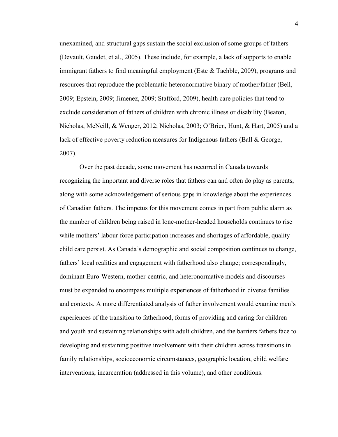unexamined, and structural gaps sustain the social exclusion of some groups of fathers (Devault, Gaudet, et al., 2005). These include, for example, a lack of supports to enable immigrant fathers to find meaningful employment (Este & Tachble, 2009), programs and resources that reproduce the problematic heteronormative binary of mother/father (Bell, 2009; Epstein, 2009; Jimenez, 2009; Stafford, 2009), health care policies that tend to exclude consideration of fathers of children with chronic illness or disability (Beaton, Nicholas, McNeill, & Wenger, 2012; Nicholas, 2003; O'Brien, Hunt, & Hart, 2005) and a lack of effective poverty reduction measures for Indigenous fathers (Ball & George, 2007).

Over the past decade, some movement has occurred in Canada towards recognizing the important and diverse roles that fathers can and often do play as parents, along with some acknowledgement of serious gaps in knowledge about the experiences of Canadian fathers. The impetus for this movement comes in part from public alarm as the number of children being raised in lone-mother-headed households continues to rise while mothers' labour force participation increases and shortages of affordable, quality child care persist. As Canada's demographic and social composition continues to change, fathers' local realities and engagement with fatherhood also change; correspondingly, dominant Euro-Western, mother-centric, and heteronormative models and discourses must be expanded to encompass multiple experiences of fatherhood in diverse families and contexts. A more differentiated analysis of father involvement would examine men's experiences of the transition to fatherhood, forms of providing and caring for children and youth and sustaining relationships with adult children, and the barriers fathers face to developing and sustaining positive involvement with their children across transitions in family relationships, socioeconomic circumstances, geographic location, child welfare interventions, incarceration (addressed in this volume), and other conditions.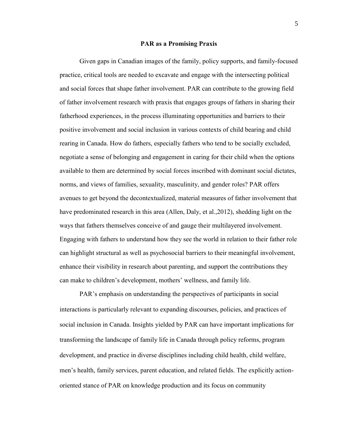#### **PAR as a Promising Praxis**

Given gaps in Canadian images of the family, policy supports, and family-focused practice, critical tools are needed to excavate and engage with the intersecting political and social forces that shape father involvement. PAR can contribute to the growing field of father involvement research with praxis that engages groups of fathers in sharing their fatherhood experiences, in the process illuminating opportunities and barriers to their positive involvement and social inclusion in various contexts of child bearing and child rearing in Canada. How do fathers, especially fathers who tend to be socially excluded, negotiate a sense of belonging and engagement in caring for their child when the options available to them are determined by social forces inscribed with dominant social dictates, norms, and views of families, sexuality, masculinity, and gender roles? PAR offers avenues to get beyond the decontextualized, material measures of father involvement that have predominated research in this area (Allen, Daly, et al.,2012), shedding light on the ways that fathers themselves conceive of and gauge their multilayered involvement. Engaging with fathers to understand how they see the world in relation to their father role can highlight structural as well as psychosocial barriers to their meaningful involvement, enhance their visibility in research about parenting, and support the contributions they can make to children's development, mothers' wellness, and family life.

PAR's emphasis on understanding the perspectives of participants in social interactions is particularly relevant to expanding discourses, policies, and practices of social inclusion in Canada. Insights yielded by PAR can have important implications for transforming the landscape of family life in Canada through policy reforms, program development, and practice in diverse disciplines including child health, child welfare, men's health, family services, parent education, and related fields. The explicitly actionoriented stance of PAR on knowledge production and its focus on community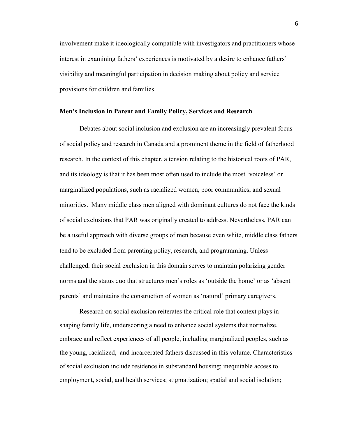involvement make it ideologically compatible with investigators and practitioners whose interest in examining fathers' experiences is motivated by a desire to enhance fathers' visibility and meaningful participation in decision making about policy and service provisions for children and families.

### **Men's Inclusion in Parent and Family Policy, Services and Research**

Debates about social inclusion and exclusion are an increasingly prevalent focus of social policy and research in Canada and a prominent theme in the field of fatherhood research. In the context of this chapter, a tension relating to the historical roots of PAR, and its ideology is that it has been most often used to include the most 'voiceless' or marginalized populations, such as racialized women, poor communities, and sexual minorities. Many middle class men aligned with dominant cultures do not face the kinds of social exclusions that PAR was originally created to address. Nevertheless, PAR can be a useful approach with diverse groups of men because even white, middle class fathers tend to be excluded from parenting policy, research, and programming. Unless challenged, their social exclusion in this domain serves to maintain polarizing gender norms and the status quo that structures men's roles as 'outside the home' or as 'absent parents' and maintains the construction of women as 'natural' primary caregivers.

Research on social exclusion reiterates the critical role that context plays in shaping family life, underscoring a need to enhance social systems that normalize, embrace and reflect experiences of all people, including marginalized peoples, such as the young, racialized, and incarcerated fathers discussed in this volume. Characteristics of social exclusion include residence in substandard housing; inequitable access to employment, social, and health services; stigmatization; spatial and social isolation;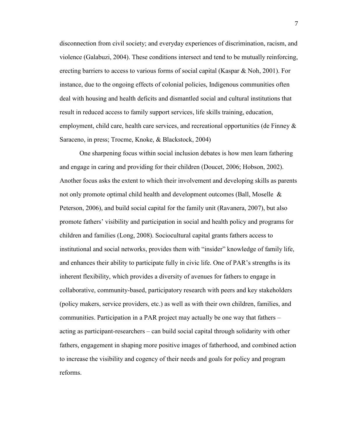disconnection from civil society; and everyday experiences of discrimination, racism, and violence (Galabuzi, 2004). These conditions intersect and tend to be mutually reinforcing, erecting barriers to access to various forms of social capital (Kaspar & Noh, 2001). For instance, due to the ongoing effects of colonial policies, Indigenous communities often deal with housing and health deficits and dismantled social and cultural institutions that result in reduced access to family support services, life skills training, education, employment, child care, health care services, and recreational opportunities (de Finney & Saraceno, in press; Trocme, Knoke, & Blackstock, 2004)

One sharpening focus within social inclusion debates is how men learn fathering and engage in caring and providing for their children (Doucet, 2006; Hobson, 2002). Another focus asks the extent to which their involvement and developing skills as parents not only promote optimal child health and development outcomes (Ball, Moselle  $\&$ Peterson, 2006), and build social capital for the family unit (Ravanera, 2007), but also promote fathers' visibility and participation in social and health policy and programs for children and families (Long, 2008). Sociocultural capital grants fathers access to institutional and social networks, provides them with "insider" knowledge of family life, and enhances their ability to participate fully in civic life. One of PAR's strengths is its inherent flexibility, which provides a diversity of avenues for fathers to engage in collaborative, community-based, participatory research with peers and key stakeholders (policy makers, service providers, etc.) as well as with their own children, families, and communities. Participation in a PAR project may actually be one way that fathers – acting as participant-researchers – can build social capital through solidarity with other fathers, engagement in shaping more positive images of fatherhood, and combined action to increase the visibility and cogency of their needs and goals for policy and program reforms.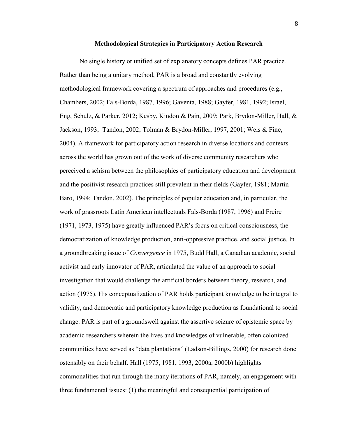#### **Methodological Strategies in Participatory Action Research**

No single history or unified set of explanatory concepts defines PAR practice. Rather than being a unitary method, PAR is a broad and constantly evolving methodological framework covering a spectrum of approaches and procedures (e.g., Chambers, 2002; Fals-Borda, 1987, 1996; Gaventa, 1988; Gayfer, 1981, 1992; Israel, Eng, Schulz, & Parker, 2012; Kesby, Kindon & Pain, 2009; Park, Brydon-Miller, Hall, & Jackson, 1993; Tandon, 2002; Tolman & Brydon-Miller, 1997, 2001; Weis & Fine, 2004). A framework for participatory action research in diverse locations and contexts across the world has grown out of the work of diverse community researchers who perceived a schism between the philosophies of participatory education and development and the positivist research practices still prevalent in their fields (Gayfer, 1981; Martin-Baro, 1994; Tandon, 2002). The principles of popular education and, in particular, the work of grassroots Latin American intellectuals Fals-Borda (1987, 1996) and Freire (1971, 1973, 1975) have greatly influenced PAR's focus on critical consciousness, the democratization of knowledge production, anti-oppressive practice, and social justice. In a groundbreaking issue of *Convergence* in 1975, Budd Hall, a Canadian academic, social activist and early innovator of PAR, articulated the value of an approach to social investigation that would challenge the artificial borders between theory, research, and action (1975). His conceptualization of PAR holds participant knowledge to be integral to validity, and democratic and participatory knowledge production as foundational to social change. PAR is part of a groundswell against the assertive seizure of epistemic space by academic researchers wherein the lives and knowledges of vulnerable, often colonized communities have served as "data plantations" (Ladson-Billings, 2000) for research done ostensibly on their behalf. Hall (1975, 1981, 1993, 2000a, 2000b) highlights commonalities that run through the many iterations of PAR, namely, an engagement with three fundamental issues: (1) the meaningful and consequential participation of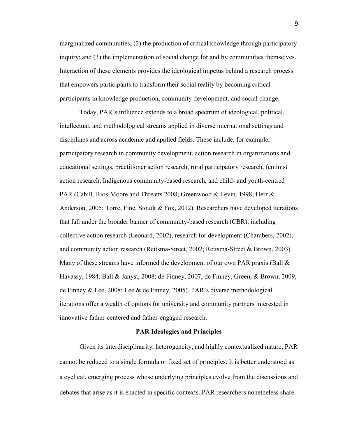marginalized communities; (2) the production of critical knowledge through participatory inquiry; and (3) the implementation of social change for and by communities themselves. Interaction of these elements provides the ideological impetus behind a research process that empowers participants to transform their social reality by becoming critical participants in knowledge production, community development, and social change.

Today, PAR's influence extends to a broad spectrum of ideological, political, intellectual, and methodological streams applied in diverse international settings and disciplines and across academic and applied fields. These include, for example, participatory research in community development, action research in organizations and educational settings, practitioner action research, rural participatory research, feminist action research, Indigenous community-based research, and child- and youth-centred PAR (Cahill, Rios-Moore and Threatts 2008; Greenwood & Levin, 1998; Herr & Anderson, 2005; Torre, Fine, Stoudt & Fox, 2012). Researchers have developed iterations that fall under the broader banner of community-based research (CBR), including collective action research (Leonard, 2002), research for development (Chambers, 2002), and community action research (Reitsma-Street, 2002; Reitsma-Street & Brown, 2003). Many of these streams have informed the development of our own PAR praxis (Ball  $\&$ Havassy, 1984; Ball & Janyst, 2008; de Finney, 2007; de Finney, Green, & Brown, 2009; de Finney & Lee, 2008; Lee & de Finney, 2005). PAR's diverse methodological iterations offer a wealth of options for university and community partners interested in innovative father-centered and father-engaged research.

### **PAR Ideologies and Principles**

Given its interdisciplinarity, heterogeneity, and highly contextualized nature, PAR cannot be reduced to a single formula or fixed set of principles. It is better understood as a cyclical, emerging process whose underlying principles evolve from the discussions and debates that arise as it is enacted in specific contexts. PAR researchers nonetheless share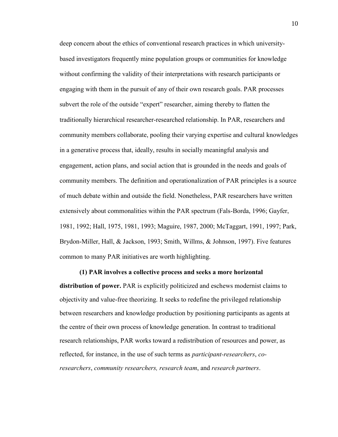deep concern about the ethics of conventional research practices in which universitybased investigators frequently mine population groups or communities for knowledge without confirming the validity of their interpretations with research participants or engaging with them in the pursuit of any of their own research goals. PAR processes subvert the role of the outside "expert" researcher, aiming thereby to flatten the traditionally hierarchical researcher-researched relationship. In PAR, researchers and community members collaborate, pooling their varying expertise and cultural knowledges in a generative process that, ideally, results in socially meaningful analysis and engagement, action plans, and social action that is grounded in the needs and goals of community members. The definition and operationalization of PAR principles is a source of much debate within and outside the field. Nonetheless, PAR researchers have written extensively about commonalities within the PAR spectrum (Fals-Borda, 1996; Gayfer, 1981, 1992; Hall, 1975, 1981, 1993; Maguire, 1987, 2000; McTaggart, 1991, 1997; Park, Brydon-Miller, Hall, & Jackson, 1993; Smith, Willms, & Johnson, 1997). Five features common to many PAR initiatives are worth highlighting.

**(1) PAR involves a collective process and seeks a more horizontal distribution of power.** PAR is explicitly politicized and eschews modernist claims to objectivity and value-free theorizing. It seeks to redefine the privileged relationship between researchers and knowledge production by positioning participants as agents at the centre of their own process of knowledge generation. In contrast to traditional research relationships, PAR works toward a redistribution of resources and power, as reflected, for instance, in the use of such terms as *participant-researchers*, *coresearchers*, *community researchers, research team*, and *research partners*.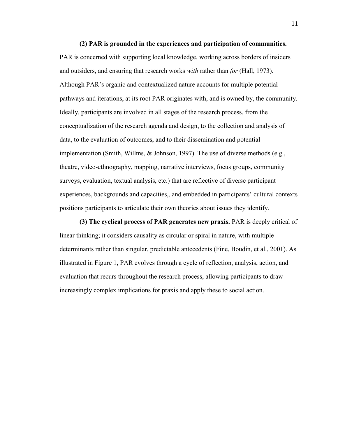**(2) PAR is grounded in the experiences and participation of communities.**  PAR is concerned with supporting local knowledge, working across borders of insiders and outsiders, and ensuring that research works *with* rather than *for* (Hall, 1973). Although PAR's organic and contextualized nature accounts for multiple potential pathways and iterations, at its root PAR originates with, and is owned by, the community. Ideally, participants are involved in all stages of the research process, from the conceptualization of the research agenda and design, to the collection and analysis of data, to the evaluation of outcomes, and to their dissemination and potential implementation (Smith, Willms, & Johnson, 1997). The use of diverse methods (e.g., theatre, video-ethnography, mapping, narrative interviews, focus groups, community surveys, evaluation, textual analysis, etc.) that are reflective of diverse participant experiences, backgrounds and capacities,, and embedded in participants' cultural contexts positions participants to articulate their own theories about issues they identify.

**(3) The cyclical process of PAR generates new praxis.** PAR is deeply critical of linear thinking; it considers causality as circular or spiral in nature, with multiple determinants rather than singular, predictable antecedents (Fine, Boudin, et al., 2001). As illustrated in Figure 1, PAR evolves through a cycle of reflection, analysis, action, and evaluation that recurs throughout the research process, allowing participants to draw increasingly complex implications for praxis and apply these to social action.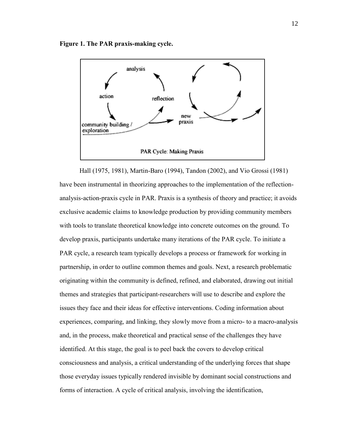



Hall (1975, 1981), Martin-Baro (1994), Tandon (2002), and Vio Grossi (1981) have been instrumental in theorizing approaches to the implementation of the reflectionanalysis-action-praxis cycle in PAR. Praxis is a synthesis of theory and practice; it avoids exclusive academic claims to knowledge production by providing community members with tools to translate theoretical knowledge into concrete outcomes on the ground. To develop praxis, participants undertake many iterations of the PAR cycle. To initiate a PAR cycle, a research team typically develops a process or framework for working in partnership, in order to outline common themes and goals. Next, a research problematic originating within the community is defined, refined, and elaborated, drawing out initial themes and strategies that participant-researchers will use to describe and explore the issues they face and their ideas for effective interventions. Coding information about experiences, comparing, and linking, they slowly move from a micro- to a macro-analysis and, in the process, make theoretical and practical sense of the challenges they have identified. At this stage, the goal is to peel back the covers to develop critical consciousness and analysis, a critical understanding of the underlying forces that shape those everyday issues typically rendered invisible by dominant social constructions and forms of interaction. A cycle of critical analysis, involving the identification,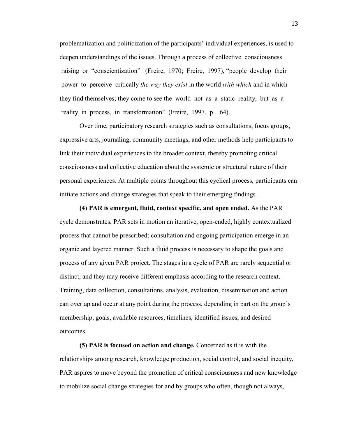problematization and politicization of the participants' individual experiences, is used to deepen understandings of the issues. Through a process of collective consciousness raising or "conscientization" (Freire, 1970; Freire, 1997), "people develop their power to perceive critically *the way they exist* in the world *with which* and in which they find themselves; they come to see the world not as a static reality, but as a reality in process, in transformation" (Freire, 1997, p. 64).

Over time, participatory research strategies such as consultations, focus groups, expressive arts, journaling, community meetings, and other methods help participants to link their individual experiences to the broader context, thereby promoting critical consciousness and collective education about the systemic or structural nature of their personal experiences. At multiple points throughout this cyclical process, participants can initiate actions and change strategies that speak to their emerging findings .

**(4) PAR is emergent, fluid, context specific, and open ended.** As the PAR cycle demonstrates, PAR sets in motion an iterative, open-ended, highly contextualized process that cannot be prescribed; consultation and ongoing participation emerge in an organic and layered manner. Such a fluid process is necessary to shape the goals and process of any given PAR project. The stages in a cycle of PAR are rarely sequential or distinct, and they may receive different emphasis according to the research context. Training, data collection, consultations, analysis, evaluation, dissemination and action can overlap and occur at any point during the process, depending in part on the group's membership, goals, available resources, timelines, identified issues, and desired outcomes.

**(5) PAR is focused on action and change.** Concerned as it is with the relationships among research, knowledge production, social control, and social inequity, PAR aspires to move beyond the promotion of critical consciousness and new knowledge to mobilize social change strategies for and by groups who often, though not always,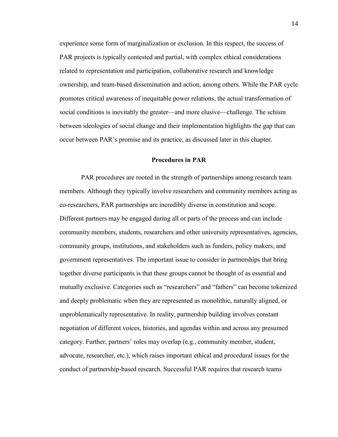experience some form of marginalization or exclusion. In this respect, the success of PAR projects is typically contested and partial, with complex ethical considerations related to representation and participation, collaborative research and knowledge ownership, and team-based dissemination and action, among others. While the PAR cycle promotes critical awareness of inequitable power relations, the actual transformation of social conditions is inevitably the greater—and more elusive—challenge. The schism between ideologies of social change and their implementation highlights the gap that can occur between PAR's promise and its practice, as discussed later in this chapter.

#### **Procedures in PAR**

PAR procedures are rooted in the strength of partnerships among research team members. Although they typically involve researchers and community members acting as co-researchers, PAR partnerships are incredibly diverse in constitution and scope. Different partners may be engaged during all or parts of the process and can include community members, students, researchers and other university representatives, agencies, community groups, institutions, and stakeholders such as funders, policy makers, and government representatives. The important issue to consider in partnerships that bring together diverse participants is that these groups cannot be thought of as essential and mutually exclusive. Categories such as "researchers" and "fathers" can become tokenized and deeply problematic when they are represented as monolithic, naturally aligned, or unproblematically representative. In reality, partnership building involves constant negotiation of different voices, histories, and agendas within and across any presumed category. Further, partners' roles may overlap (e.g., community member, student, advocate, researcher, etc.), which raises important ethical and procedural issues for the conduct of partnership-based research. Successful PAR requires that research teams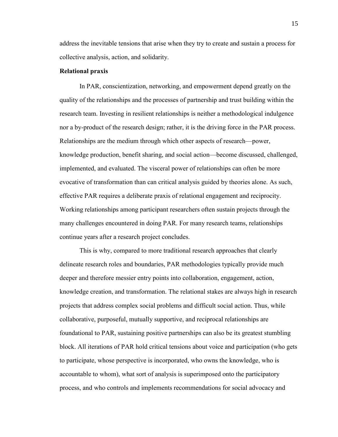address the inevitable tensions that arise when they try to create and sustain a process for collective analysis, action, and solidarity.

### **Relational praxis**

In PAR, conscientization, networking, and empowerment depend greatly on the quality of the relationships and the processes of partnership and trust building within the research team. Investing in resilient relationships is neither a methodological indulgence nor a by-product of the research design; rather, it is the driving force in the PAR process. Relationships are the medium through which other aspects of research—power, knowledge production, benefit sharing, and social action—become discussed, challenged, implemented, and evaluated. The visceral power of relationships can often be more evocative of transformation than can critical analysis guided by theories alone. As such, effective PAR requires a deliberate praxis of relational engagement and reciprocity. Working relationships among participant researchers often sustain projects through the many challenges encountered in doing PAR. For many research teams, relationships continue years after a research project concludes.

This is why, compared to more traditional research approaches that clearly delineate research roles and boundaries, PAR methodologies typically provide much deeper and therefore messier entry points into collaboration, engagement, action, knowledge creation, and transformation. The relational stakes are always high in research projects that address complex social problems and difficult social action. Thus, while collaborative, purposeful, mutually supportive, and reciprocal relationships are foundational to PAR, sustaining positive partnerships can also be its greatest stumbling block. All iterations of PAR hold critical tensions about voice and participation (who gets to participate, whose perspective is incorporated, who owns the knowledge, who is accountable to whom), what sort of analysis is superimposed onto the participatory process, and who controls and implements recommendations for social advocacy and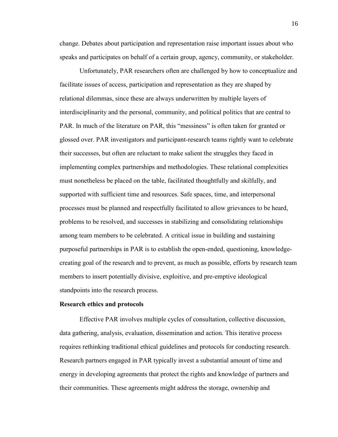change. Debates about participation and representation raise important issues about who speaks and participates on behalf of a certain group, agency, community, or stakeholder.

Unfortunately, PAR researchers often are challenged by how to conceptualize and facilitate issues of access, participation and representation as they are shaped by relational dilemmas, since these are always underwritten by multiple layers of interdisciplinarity and the personal, community, and political politics that are central to PAR. In much of the literature on PAR, this "messiness" is often taken for granted or glossed over. PAR investigators and participant-research teams rightly want to celebrate their successes, but often are reluctant to make salient the struggles they faced in implementing complex partnerships and methodologies. These relational complexities must nonetheless be placed on the table, facilitated thoughtfully and skilfully, and supported with sufficient time and resources. Safe spaces, time, and interpersonal processes must be planned and respectfully facilitated to allow grievances to be heard, problems to be resolved, and successes in stabilizing and consolidating relationships among team members to be celebrated. A critical issue in building and sustaining purposeful partnerships in PAR is to establish the open-ended, questioning, knowledgecreating goal of the research and to prevent, as much as possible, efforts by research team members to insert potentially divisive, exploitive, and pre-emptive ideological standpoints into the research process.

### **Research ethics and protocols**

Effective PAR involves multiple cycles of consultation, collective discussion, data gathering, analysis, evaluation, dissemination and action. This iterative process requires rethinking traditional ethical guidelines and protocols for conducting research. Research partners engaged in PAR typically invest a substantial amount of time and energy in developing agreements that protect the rights and knowledge of partners and their communities. These agreements might address the storage, ownership and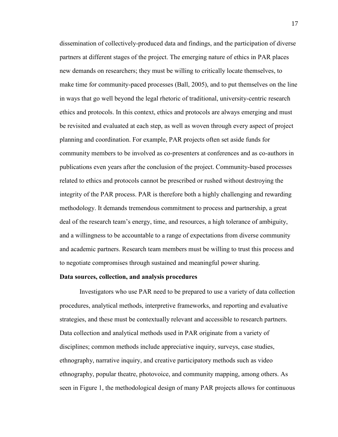dissemination of collectively-produced data and findings, and the participation of diverse partners at different stages of the project. The emerging nature of ethics in PAR places new demands on researchers; they must be willing to critically locate themselves, to make time for community-paced processes (Ball, 2005), and to put themselves on the line in ways that go well beyond the legal rhetoric of traditional, university-centric research ethics and protocols. In this context, ethics and protocols are always emerging and must be revisited and evaluated at each step, as well as woven through every aspect of project planning and coordination. For example, PAR projects often set aside funds for community members to be involved as co-presenters at conferences and as co-authors in publications even years after the conclusion of the project. Community-based processes related to ethics and protocols cannot be prescribed or rushed without destroying the integrity of the PAR process. PAR is therefore both a highly challenging and rewarding methodology. It demands tremendous commitment to process and partnership, a great deal of the research team's energy, time, and resources, a high tolerance of ambiguity, and a willingness to be accountable to a range of expectations from diverse community and academic partners. Research team members must be willing to trust this process and to negotiate compromises through sustained and meaningful power sharing.

#### **Data sources, collection, and analysis procedures**

Investigators who use PAR need to be prepared to use a variety of data collection procedures, analytical methods, interpretive frameworks, and reporting and evaluative strategies, and these must be contextually relevant and accessible to research partners. Data collection and analytical methods used in PAR originate from a variety of disciplines; common methods include appreciative inquiry, surveys, case studies, ethnography, narrative inquiry, and creative participatory methods such as video ethnography, popular theatre, photovoice, and community mapping, among others. As seen in Figure 1, the methodological design of many PAR projects allows for continuous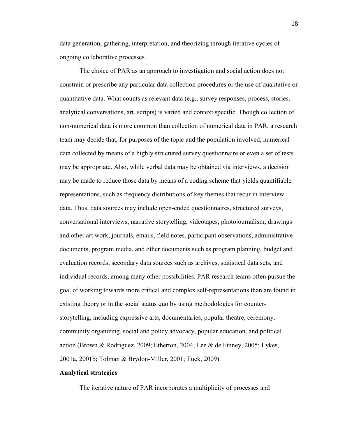data generation, gathering, interpretation, and theorizing through iterative cycles of ongoing collaborative processes.

The choice of PAR as an approach to investigation and social action does not constrain or prescribe any particular data collection procedures or the use of qualitative or quantitative data. What counts as relevant data (e.g., survey responses, process, stories, analytical conversations, art, scripts) is varied and context specific. Though collection of non-numerical data is more common than collection of numerical data in PAR, a research team may decide that, for purposes of the topic and the population involved, numerical data collected by means of a highly structured survey questionnaire or even a set of tests may be appropriate. Also, while verbal data may be obtained via interviews, a decision may be made to reduce those data by means of a coding scheme that yields quantifiable representations, such as frequency distributions of key themes that recur in interview data. Thus, data sources may include open-ended questionnaires, structured surveys, conversational interviews, narrative storytelling, videotapes, photojournalism, drawings and other art work, journals, emails, field notes, participant observations, administrative documents, program media, and other documents such as program planning, budget and evaluation records, secondary data sources such as archives, statistical data sets, and individual records, among many other possibilities. PAR research teams often pursue the goal of working towards more critical and complex self-representations than are found in existing theory or in the social status quo by using methodologies for counterstorytelling, including expressive arts, documentaries, popular theatre, ceremony, community organizing, social and policy advocacy, popular education, and political action (Brown & Rodriguez, 2009; Etherton, 2004; Lee & de Finney, 2005; Lykes, 2001a, 2001b; Tolman & Brydon-Miller, 2001; Tuck, 2009).

### **Analytical strategies**

The iterative nature of PAR incorporates a multiplicity of processes and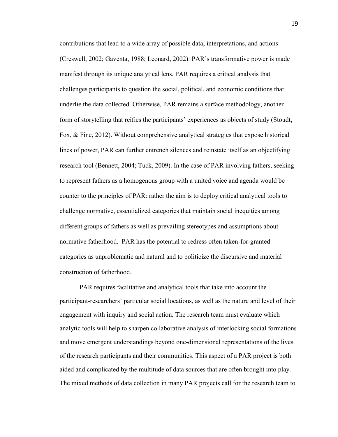contributions that lead to a wide array of possible data, interpretations, and actions (Creswell, 2002; Gaventa, 1988; Leonard, 2002). PAR's transformative power is made manifest through its unique analytical lens. PAR requires a critical analysis that challenges participants to question the social, political, and economic conditions that underlie the data collected. Otherwise, PAR remains a surface methodology, another form of storytelling that reifies the participants' experiences as objects of study (Stoudt, Fox, & Fine, 2012). Without comprehensive analytical strategies that expose historical lines of power, PAR can further entrench silences and reinstate itself as an objectifying research tool (Bennett, 2004; Tuck, 2009). In the case of PAR involving fathers, seeking to represent fathers as a homogenous group with a united voice and agenda would be counter to the principles of PAR: rather the aim is to deploy critical analytical tools to challenge normative, essentialized categories that maintain social inequities among different groups of fathers as well as prevailing stereotypes and assumptions about normative fatherhood. PAR has the potential to redress often taken-for-granted categories as unproblematic and natural and to politicize the discursive and material construction of fatherhood.

PAR requires facilitative and analytical tools that take into account the participant-researchers' particular social locations, as well as the nature and level of their engagement with inquiry and social action. The research team must evaluate which analytic tools will help to sharpen collaborative analysis of interlocking social formations and move emergent understandings beyond one-dimensional representations of the lives of the research participants and their communities. This aspect of a PAR project is both aided and complicated by the multitude of data sources that are often brought into play. The mixed methods of data collection in many PAR projects call for the research team to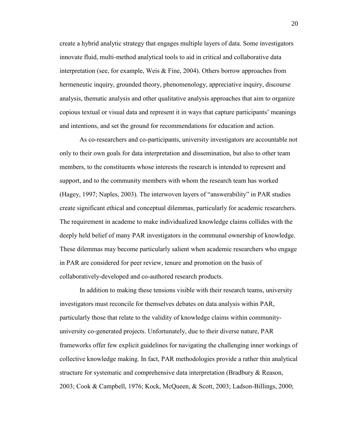create a hybrid analytic strategy that engages multiple layers of data. Some investigators innovate fluid, multi-method analytical tools to aid in critical and collaborative data interpretation (see, for example, Weis & Fine, 2004). Others borrow approaches from hermeneutic inquiry, grounded theory, phenomenology, appreciative inquiry, discourse analysis, thematic analysis and other qualitative analysis approaches that aim to organize copious textual or visual data and represent it in ways that capture participants' meanings and intentions, and set the ground for recommendations for education and action.

As co-researchers and co-participants, university investigators are accountable not only to their own goals for data interpretation and dissemination, but also to other team members, to the constituents whose interests the research is intended to represent and support, and to the community members with whom the research team has worked (Hagey, 1997; Naples, 2003). The interwoven layers of "answerability" in PAR studies create significant ethical and conceptual dilemmas, particularly for academic researchers. The requirement in academe to make individualized knowledge claims collides with the deeply held belief of many PAR investigators in the communal ownership of knowledge. These dilemmas may become particularly salient when academic researchers who engage in PAR are considered for peer review, tenure and promotion on the basis of collaboratively-developed and co-authored research products.

In addition to making these tensions visible with their research teams, university investigators must reconcile for themselves debates on data analysis within PAR, particularly those that relate to the validity of knowledge claims within communityuniversity co-generated projects. Unfortunately, due to their diverse nature, PAR frameworks offer few explicit guidelines for navigating the challenging inner workings of collective knowledge making. In fact, PAR methodologies provide a rather thin analytical structure for systematic and comprehensive data interpretation (Bradbury & Reason, 2003; Cook & Campbell, 1976; Kock, McQueen, & Scott, 2003; Ladson-Billings, 2000;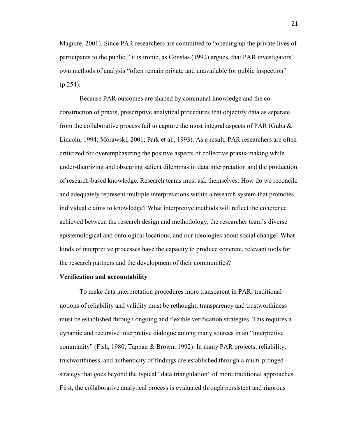Maguire, 2001). Since PAR researchers are committed to "opening up the private lives of participants to the public," it is ironic, as Constas (1992) argues, that PAR investigators' own methods of analysis "often remain private and unavailable for public inspection" (p.254).

Because PAR outcomes are shaped by communal knowledge and the coconstruction of praxis, prescriptive analytical procedures that objectify data as separate from the collaborative process fail to capture the most integral aspects of PAR (Guba  $\&$ Lincoln, 1994; Morawski, 2001; Park et al., 1993). As a result, PAR researchers are often criticized for overemphasizing the positive aspects of collective praxis-making while under-theorizing and obscuring salient dilemmas in data interpretation and the production of research-based knowledge. Research teams must ask themselves: How do we reconcile and adequately represent multiple interpretations within a research system that promotes individual claims to knowledge? What interpretive methods will reflect the coherence achieved between the research design and methodology, the researcher team's diverse epistemological and ontological locations, and our ideologies about social change? What kinds of interpretive processes have the capacity to produce concrete, relevant tools for the research partners and the development of their communities?

### **Verification and accountability**

To make data interpretation procedures more transparent in PAR, traditional notions of reliability and validity must be rethought; transparency and trustworthiness must be established through ongoing and flexible verification strategies. This requires a dynamic and recursive interpretive dialogue among many sources in an "interpretive community" (Fish, 1980; Tappan & Brown, 1992). In many PAR projects, reliability, trustworthiness, and authenticity of findings are established through a multi-pronged strategy that goes beyond the typical "data triangulation" of more traditional approaches. First, the collaborative analytical process is evaluated through persistent and rigorous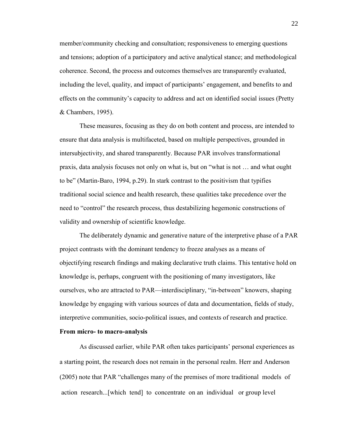member/community checking and consultation; responsiveness to emerging questions and tensions; adoption of a participatory and active analytical stance; and methodological coherence. Second, the process and outcomes themselves are transparently evaluated, including the level, quality, and impact of participants' engagement, and benefits to and effects on the community's capacity to address and act on identified social issues (Pretty & Chambers, 1995).

These measures, focusing as they do on both content and process, are intended to ensure that data analysis is multifaceted, based on multiple perspectives, grounded in intersubjectivity, and shared transparently. Because PAR involves transformational praxis, data analysis focuses not only on what is, but on "what is not … and what ought to be" (Martin-Baro, 1994, p.29). In stark contrast to the positivism that typifies traditional social science and health research, these qualities take precedence over the need to "control" the research process, thus destabilizing hegemonic constructions of validity and ownership of scientific knowledge.

The deliberately dynamic and generative nature of the interpretive phase of a PAR project contrasts with the dominant tendency to freeze analyses as a means of objectifying research findings and making declarative truth claims. This tentative hold on knowledge is, perhaps, congruent with the positioning of many investigators, like ourselves, who are attracted to PAR—interdisciplinary, "in-between" knowers, shaping knowledge by engaging with various sources of data and documentation, fields of study, interpretive communities, socio-political issues, and contexts of research and practice.

## **From micro- to macro-analysis**

As discussed earlier, while PAR often takes participants' personal experiences as a starting point, the research does not remain in the personal realm. Herr and Anderson (2005) note that PAR "challenges many of the premises of more traditional models of action research...[which tend] to concentrate on an individual or group level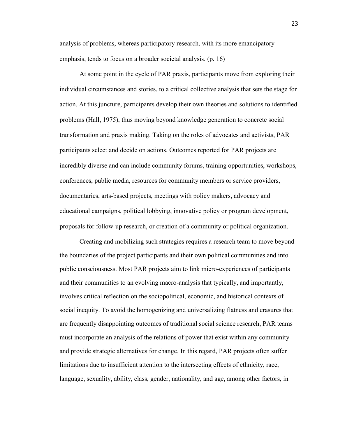analysis of problems, whereas participatory research, with its more emancipatory emphasis, tends to focus on a broader societal analysis. (p. 16)

At some point in the cycle of PAR praxis, participants move from exploring their individual circumstances and stories, to a critical collective analysis that sets the stage for action. At this juncture, participants develop their own theories and solutions to identified problems (Hall, 1975), thus moving beyond knowledge generation to concrete social transformation and praxis making. Taking on the roles of advocates and activists, PAR participants select and decide on actions. Outcomes reported for PAR projects are incredibly diverse and can include community forums, training opportunities, workshops, conferences, public media, resources for community members or service providers, documentaries, arts-based projects, meetings with policy makers, advocacy and educational campaigns, political lobbying, innovative policy or program development, proposals for follow-up research, or creation of a community or political organization.

Creating and mobilizing such strategies requires a research team to move beyond the boundaries of the project participants and their own political communities and into public consciousness. Most PAR projects aim to link micro-experiences of participants and their communities to an evolving macro-analysis that typically, and importantly, involves critical reflection on the sociopolitical, economic, and historical contexts of social inequity. To avoid the homogenizing and universalizing flatness and erasures that are frequently disappointing outcomes of traditional social science research, PAR teams must incorporate an analysis of the relations of power that exist within any community and provide strategic alternatives for change. In this regard, PAR projects often suffer limitations due to insufficient attention to the intersecting effects of ethnicity, race, language, sexuality, ability, class, gender, nationality, and age, among other factors, in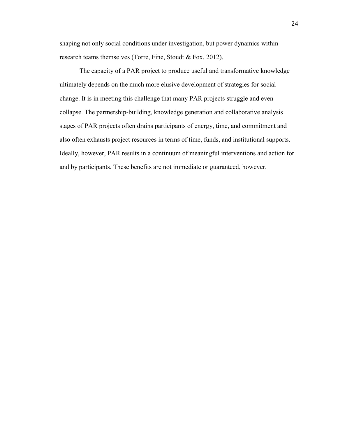shaping not only social conditions under investigation, but power dynamics within research teams themselves (Torre, Fine, Stoudt & Fox, 2012).

The capacity of a PAR project to produce useful and transformative knowledge ultimately depends on the much more elusive development of strategies for social change. It is in meeting this challenge that many PAR projects struggle and even collapse. The partnership-building, knowledge generation and collaborative analysis stages of PAR projects often drains participants of energy, time, and commitment and also often exhausts project resources in terms of time, funds, and institutional supports. Ideally, however, PAR results in a continuum of meaningful interventions and action for and by participants. These benefits are not immediate or guaranteed, however.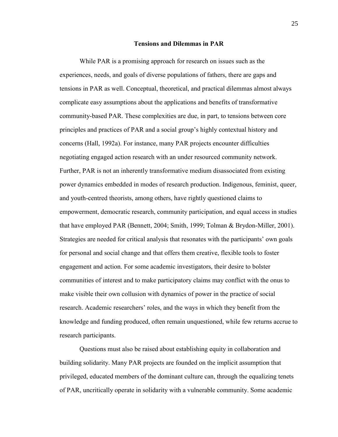#### **Tensions and Dilemmas in PAR**

While PAR is a promising approach for research on issues such as the experiences, needs, and goals of diverse populations of fathers, there are gaps and tensions in PAR as well. Conceptual, theoretical, and practical dilemmas almost always complicate easy assumptions about the applications and benefits of transformative community-based PAR. These complexities are due, in part, to tensions between core principles and practices of PAR and a social group's highly contextual history and concerns (Hall, 1992a). For instance, many PAR projects encounter difficulties negotiating engaged action research with an under resourced community network. Further, PAR is not an inherently transformative medium disassociated from existing power dynamics embedded in modes of research production. Indigenous, feminist, queer, and youth-centred theorists, among others, have rightly questioned claims to empowerment, democratic research, community participation, and equal access in studies that have employed PAR (Bennett, 2004; Smith, 1999; Tolman & Brydon-Miller, 2001). Strategies are needed for critical analysis that resonates with the participants' own goals for personal and social change and that offers them creative, flexible tools to foster engagement and action. For some academic investigators, their desire to bolster communities of interest and to make participatory claims may conflict with the onus to make visible their own collusion with dynamics of power in the practice of social research. Academic researchers' roles, and the ways in which they benefit from the knowledge and funding produced, often remain unquestioned, while few returns accrue to research participants.

Questions must also be raised about establishing equity in collaboration and building solidarity. Many PAR projects are founded on the implicit assumption that privileged, educated members of the dominant culture can, through the equalizing tenets of PAR, uncritically operate in solidarity with a vulnerable community. Some academic

25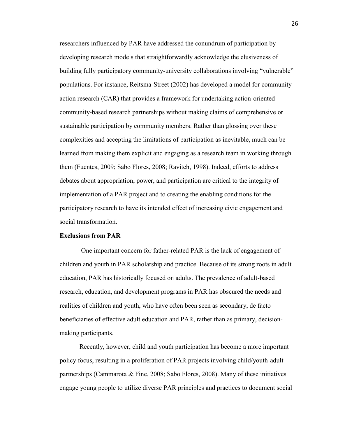researchers influenced by PAR have addressed the conundrum of participation by developing research models that straightforwardly acknowledge the elusiveness of building fully participatory community-university collaborations involving "vulnerable" populations. For instance, Reitsma-Street (2002) has developed a model for community action research (CAR) that provides a framework for undertaking action-oriented community-based research partnerships without making claims of comprehensive or sustainable participation by community members. Rather than glossing over these complexities and accepting the limitations of participation as inevitable, much can be learned from making them explicit and engaging as a research team in working through them (Fuentes, 2009; Sabo Flores, 2008; Ravitch, 1998). Indeed, efforts to address debates about appropriation, power, and participation are critical to the integrity of implementation of a PAR project and to creating the enabling conditions for the participatory research to have its intended effect of increasing civic engagement and social transformation.

## **Exclusions from PAR**

One important concern for father-related PAR is the lack of engagement of children and youth in PAR scholarship and practice. Because of its strong roots in adult education, PAR has historically focused on adults. The prevalence of adult-based research, education, and development programs in PAR has obscured the needs and realities of children and youth, who have often been seen as secondary, de facto beneficiaries of effective adult education and PAR, rather than as primary, decisionmaking participants.

Recently, however, child and youth participation has become a more important policy focus, resulting in a proliferation of PAR projects involving child/youth-adult partnerships (Cammarota & Fine, 2008; Sabo Flores, 2008). Many of these initiatives engage young people to utilize diverse PAR principles and practices to document social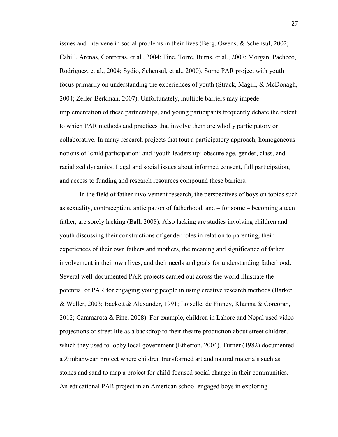issues and intervene in social problems in their lives (Berg, Owens, & Schensul, 2002; Cahill, Arenas, Contreras, et al., 2004; Fine, Torre, Burns, et al., 2007; Morgan, Pacheco, Rodriguez, et al., 2004; Sydio, Schensul, et al., 2000). Some PAR project with youth focus primarily on understanding the experiences of youth (Strack, Magill, & McDonagh, 2004; Zeller-Berkman, 2007). Unfortunately, multiple barriers may impede implementation of these partnerships, and young participants frequently debate the extent to which PAR methods and practices that involve them are wholly participatory or collaborative. In many research projects that tout a participatory approach, homogeneous notions of 'child participation' and 'youth leadership' obscure age, gender, class, and racialized dynamics. Legal and social issues about informed consent, full participation, and access to funding and research resources compound these barriers.

In the field of father involvement research, the perspectives of boys on topics such as sexuality, contraception, anticipation of fatherhood, and – for some – becoming a teen father, are sorely lacking (Ball, 2008). Also lacking are studies involving children and youth discussing their constructions of gender roles in relation to parenting, their experiences of their own fathers and mothers, the meaning and significance of father involvement in their own lives, and their needs and goals for understanding fatherhood. Several well-documented PAR projects carried out across the world illustrate the potential of PAR for engaging young people in using creative research methods (Barker & Weller, 2003; Backett & Alexander, 1991; Loiselle, de Finney, Khanna & Corcoran, 2012; Cammarota & Fine, 2008). For example, children in Lahore and Nepal used video projections of street life as a backdrop to their theatre production about street children, which they used to lobby local government (Etherton, 2004). Turner (1982) documented a Zimbabwean project where children transformed art and natural materials such as stones and sand to map a project for child-focused social change in their communities. An educational PAR project in an American school engaged boys in exploring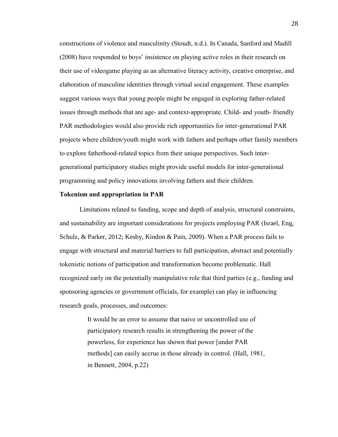constructions of violence and masculinity (Stoudt, n.d.). In Canada, Sanford and Madill (2008) have responded to boys' insistence on playing active roles in their research on their use of videogame playing as an alternative literacy activity, creative enterprise, and elaboration of masculine identities through virtual social engagement. These examples suggest various ways that young people might be engaged in exploring father-related issues through methods that are age- and context-appropriate. Child- and youth- friendly PAR methodologies would also provide rich opportunities for inter-generational PAR projects where children/youth might work with fathers and perhaps other family members to explore fatherhood-related topics from their unique perspectives. Such intergenerational participatory studies might provide useful models for inter-generational programming and policy innovations involving fathers and their children.

#### **Tokenism and appropriation in PAR**

Limitations related to funding, scope and depth of analysis, structural constraints, and sustainability are important considerations for projects employing PAR (Israel, Eng, Schulz, & Parker, 2012; Kesby, Kindon & Pain, 2009). When a PAR process fails to engage with structural and material barriers to full participation, abstract and potentially tokenistic notions of participation and transformation become problematic. Hall recognized early on the potentially manipulative role that third parties (e.g., funding and sponsoring agencies or government officials, for example) can play in influencing research goals, processes, and outcomes:

> It would be an error to assume that naive or uncontrolled use of participatory research results in strengthening the power of the powerless, for experience has shown that power [under PAR methods] can easily accrue in those already in control. (Hall, 1981, in Bennett, 2004, p.22)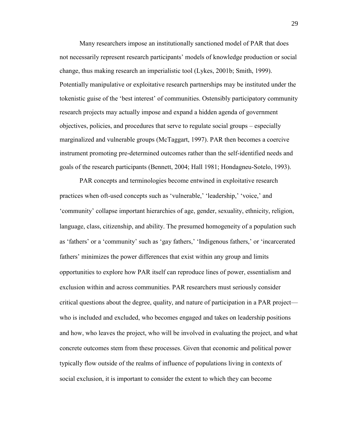Many researchers impose an institutionally sanctioned model of PAR that does not necessarily represent research participants' models of knowledge production or social change, thus making research an imperialistic tool (Lykes, 2001b; Smith, 1999). Potentially manipulative or exploitative research partnerships may be instituted under the tokenistic guise of the 'best interest' of communities. Ostensibly participatory community research projects may actually impose and expand a hidden agenda of government objectives, policies, and procedures that serve to regulate social groups – especially marginalized and vulnerable groups (McTaggart, 1997). PAR then becomes a coercive instrument promoting pre-determined outcomes rather than the self-identified needs and goals of the research participants (Bennett, 2004; Hall 1981; Hondagneu-Sotelo, 1993).

PAR concepts and terminologies become entwined in exploitative research practices when oft-used concepts such as 'vulnerable,' 'leadership,' 'voice,' and 'community' collapse important hierarchies of age, gender, sexuality, ethnicity, religion, language, class, citizenship, and ability. The presumed homogeneity of a population such as 'fathers' or a 'community' such as 'gay fathers,' 'Indigenous fathers,' or 'incarcerated fathers' minimizes the power differences that exist within any group and limits opportunities to explore how PAR itself can reproduce lines of power, essentialism and exclusion within and across communities. PAR researchers must seriously consider critical questions about the degree, quality, and nature of participation in a PAR project who is included and excluded, who becomes engaged and takes on leadership positions and how, who leaves the project, who will be involved in evaluating the project, and what concrete outcomes stem from these processes. Given that economic and political power typically flow outside of the realms of influence of populations living in contexts of social exclusion, it is important to consider the extent to which they can become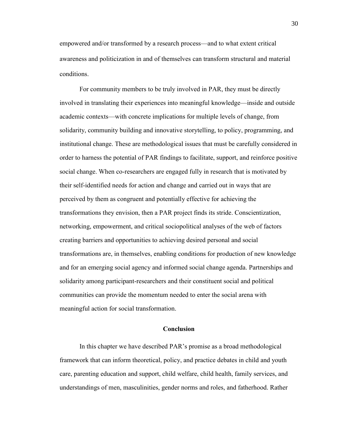empowered and/or transformed by a research process—and to what extent critical awareness and politicization in and of themselves can transform structural and material conditions.

For community members to be truly involved in PAR, they must be directly involved in translating their experiences into meaningful knowledge—inside and outside academic contexts—with concrete implications for multiple levels of change, from solidarity, community building and innovative storytelling, to policy, programming, and institutional change. These are methodological issues that must be carefully considered in order to harness the potential of PAR findings to facilitate, support, and reinforce positive social change. When co-researchers are engaged fully in research that is motivated by their self-identified needs for action and change and carried out in ways that are perceived by them as congruent and potentially effective for achieving the transformations they envision, then a PAR project finds its stride. Conscientization, networking, empowerment, and critical sociopolitical analyses of the web of factors creating barriers and opportunities to achieving desired personal and social transformations are, in themselves, enabling conditions for production of new knowledge and for an emerging social agency and informed social change agenda. Partnerships and solidarity among participant-researchers and their constituent social and political communities can provide the momentum needed to enter the social arena with meaningful action for social transformation.

## **Conclusion**

In this chapter we have described PAR's promise as a broad methodological framework that can inform theoretical, policy, and practice debates in child and youth care, parenting education and support, child welfare, child health, family services, and understandings of men, masculinities, gender norms and roles, and fatherhood. Rather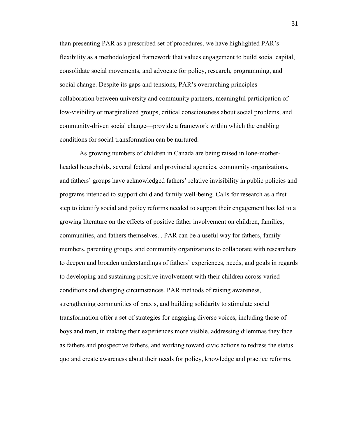than presenting PAR as a prescribed set of procedures, we have highlighted PAR's flexibility as a methodological framework that values engagement to build social capital, consolidate social movements, and advocate for policy, research, programming, and social change. Despite its gaps and tensions, PAR's overarching principles collaboration between university and community partners, meaningful participation of low-visibility or marginalized groups, critical consciousness about social problems, and community-driven social change—provide a framework within which the enabling conditions for social transformation can be nurtured.

As growing numbers of children in Canada are being raised in lone-motherheaded households, several federal and provincial agencies, community organizations, and fathers' groups have acknowledged fathers' relative invisibility in public policies and programs intended to support child and family well-being. Calls for research as a first step to identify social and policy reforms needed to support their engagement has led to a growing literature on the effects of positive father involvement on children, families, communities, and fathers themselves. . PAR can be a useful way for fathers, family members, parenting groups, and community organizations to collaborate with researchers to deepen and broaden understandings of fathers' experiences, needs, and goals in regards to developing and sustaining positive involvement with their children across varied conditions and changing circumstances. PAR methods of raising awareness, strengthening communities of praxis, and building solidarity to stimulate social transformation offer a set of strategies for engaging diverse voices, including those of boys and men, in making their experiences more visible, addressing dilemmas they face as fathers and prospective fathers, and working toward civic actions to redress the status quo and create awareness about their needs for policy, knowledge and practice reforms.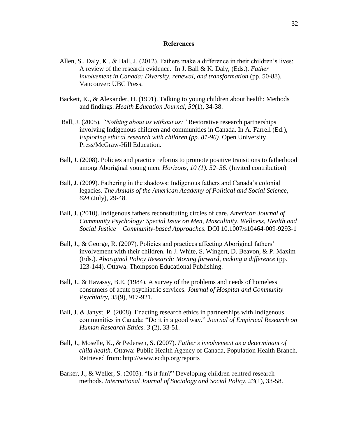### **References**

- Allen, S., Daly, K., & Ball, J. (2012). Fathers make a difference in their children's lives: A review of the research evidence. In J. Ball & K. Daly, (Eds.). *Father involvement in Canada: Diversity, renewal, and transformation* (pp. 50-88). Vancouver: UBC Press.
- Backett, K., & Alexander, H. (1991). Talking to young children about health: Methods and findings. *Health Education Journal, 50*(1), 34-38.
- Ball, J. (2005). *"Nothing about us without us:"* Restorative research partnerships involving Indigenous children and communities in Canada. In A. Farrell (Ed.), *Exploring ethical research with children (pp. 81-96).* Open University Press/McGraw-Hill Education.
- Ball, J. (2008). Policies and practice reforms to promote positive transitions to fatherhood among Aboriginal young men. *Horizons, 10 (1). 52–56.* (Invited contribution)
- Ball, J. (2009). Fathering in the shadows: Indigenous fathers and Canada's colonial legacies. *The Annals of the American Academy of Political and Social Science, 624* (July), 29-48.
- Ball, J. (2010). Indigenous fathers reconstituting circles of care. *American Journal of Community Psychology: Special Issue on Men, Masculinity, Wellness, Health and Social Justice – Community-based Approaches.* DOI 10.1007/s10464-009-9293-1
- Ball, J., & George, R. (2007). Policies and practices affecting Aboriginal fathers' involvement with their children. In J. White, S. Wingert, D. Beavon, & P. Maxim (Eds.). *Aboriginal Policy Research: Moving forward, making a difference* (pp. 123-144). Ottawa: Thompson Educational Publishing.
- Ball, J., & Havassy, B.E. (1984). A survey of the problems and needs of homeless consumers of acute psychiatric services. *Journal of Hospital and Community Psychiatry, 35*(9), 917-921.
- Ball, J. & Janyst, P. (2008). Enacting research ethics in partnerships with Indigenous communities in Canada: "Do it in a good way." *Journal of Empirical Research on Human Research Ethics. 3* (2), 33-51.
- [Ball, J., Moselle, K., & Pedersen, S. \(2007\).](http://www.ecdip.org/docs/pdf/PH%20FI%20Final%20Full%20Report.pdf) *Father's involvement as a determinant of child health.* [Ottawa: Public Health Agency of Canada, Population Health Branch.](http://www.ecdip.org/docs/pdf/PH%20FI%20Final%20Full%20Report.pdf) Retrieved from: <http://www.ecdip.org/reports>
- Barker, J., & Weller, S. (2003). "Is it fun?" Developing children centred research methods. *International Journal of Sociology and Social Policy, 23*(1), 33-58.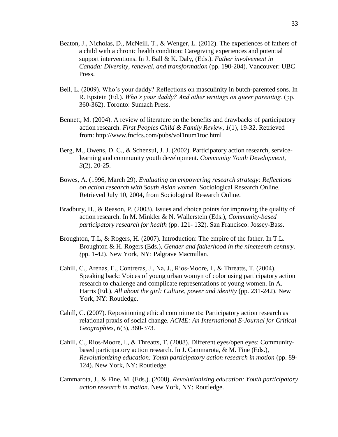- Beaton, J., Nicholas, D., McNeill, T., & Wenger, L. (2012). The experiences of fathers of a child with a chronic health condition: Caregiving experiences and potential support interventions. In J. Ball & K. Daly, (Eds.). *Father involvement in Canada: Diversity, renewal, and transformation* (pp. 190-204). Vancouver: UBC Press.
- Bell, L. (2009). Who's your daddy? Reflections on masculinity in butch-parented sons. In R. Epstein (Ed.). *Who's your daddy? And other writings on queer parenting.* (pp. 360-362). Toronto: Sumach Press.
- Bennett, M. (2004). A review of literature on the benefits and drawbacks of participatory action research. *First Peoples Child & Family Review, 1*(1), 19-32. Retrieved from: http://www.fncfcs.com/pubs/vol1num1toc.html
- Berg, M., Owens, D. C., & Schensul, J. J. (2002). Participatory action research, servicelearning and community youth development. *Community Youth Development, 3*(2), 20-25.
- Bowes, A. (1996, March 29). *Evaluating an empowering research strategy: Reflections on action research with South Asian women*. Sociological Research Online. Retrieved July 10, 2004, from Sociological Research Online.
- Bradbury, H., & Reason, P. (2003). Issues and choice points for improving the quality of action research. In M. Minkler & N. Wallerstein (Eds.), *Community-based participatory research for health* (pp. 121- 132). San Francisco: Jossey-Bass.
- Broughton, T.L, & Rogers, H. (2007). Introduction: The empire of the father. In T.L. Broughton & H. Rogers (Eds.), *Gender and fatherhood in the nineteenth century. (*pp. 1-42). New York, NY: Palgrave Macmillan.
- Cahill, C., Arenas, E., Contreras, J., Na, J., Rios-Moore, I., & Threatts, T. (2004). Speaking back: Voices of young urban womyn of color using participatory action research to challenge and complicate representations of young women. In A. Harris (Ed.), *All about the girl: Culture, power and identity* (pp. 231-242). New York, NY: Routledge.
- Cahill, C. (2007). Repositioning ethical commitments: Participatory action research as relational praxis of social change. *ACME: An International E-Journal for Critical Geographies, 6*(3), 360-373.
- Cahill, C., Rios-Moore, I., & Threatts, T. (2008). Different eyes/open eyes: Communitybased participatory action research. In J. Cammarota, & M. Fine (Eds.), *Revolutionizing education: Youth participatory action research in motion* (pp. 89- 124). New York, NY: Routledge.
- Cammarota, J., & Fine, M. (Eds.). (2008). *Revolutionizing education: Youth participatory action research in motion.* New York, NY: Routledge.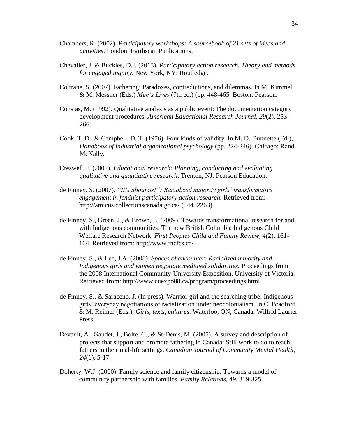- Chambers, R. (2002). *Participatory workshops: A sourcebook of 21 sets of ideas and activities*. London: Earthscan Publications.
- Chevalier, J. & Buckles, D.J. (2013). *Participatory action research. Theory and methods for engaged inquiry.* New York, NY: Routledge.
- Coltrane, S. (2007). Fathering: Paradoxes, contradictions, and dilemmas. In M. Kimmel & M. Messner (Eds.) *Men's Lives* (7th ed.) (pp. 448-465. Boston: Pearson.
- Constas, M. (1992). Qualitative analysis as a public event: The documentation category development procedures. *American Educational Research Journal, 29*(2), 253- 266.
- Cook, T. D., & Campbell, D. T. (1976). Four kinds of validity. In M. D. Dunnette (Ed.), *Handbook of industrial organizational psychology* (pp. 224-246). Chicago: Rand McNally.
- Creswell, J. (2002). *Educational research: Planning, conducting and evaluating qualitative and quantitative research*. Trenton, NJ: Pearson Education.
- de Finney, S. (2007). *"It's about us!": Racialized minority girls' transformative engagement in feminist participatory action research.* Retrieved from: <http://amicus.collectionscanada.gc.ca/> (34432263).
- de Finney, S., Green, J., & Brown, L. (2009). Towards transformational research for and with Indigenous communities: The new British Columbia Indigenous Child Welfare Research Network. *First Peoples Child and Family Review, 4(*2), 161- 164. Retrieved from:<http://www.fncfcs.ca/>
- de Finney, S., & Lee, J.A. (2008). *Spaces of encounter: Racialized minority and Indigenous girls and women negotiate mediated solidarities.* Proceedings from the 2008 International Community-University Exposition, University of Victoria. Retrieved from:<http://www.cuexpo08.ca/program/proceedings.html>
- de Finney, S., & Saraceno, J. (In press). Warrior girl and the searching tribe: Indigenous girls' everyday negotiations of racialization under neocolonialism. In C. Bradford & M. Reimer (Eds.), *Girls, texts, cultures*. Waterloo, ON, Canada: Wilfrid Laurier Press.
- Devault, A., Gaudet, J., Bolte, C., & St-Denis, M. (2005). A survey and description of projects that support and promote fathering in Canada: Still work to do to reach fathers in their real-life settings. *Canadian Journal of Community Mental Health, 24*(1), 5-17.
- Doherty, W.J. (2000). Family science and family citizenship: Towards a model of community partnership with families. *Family Relations, 49,* 319-325.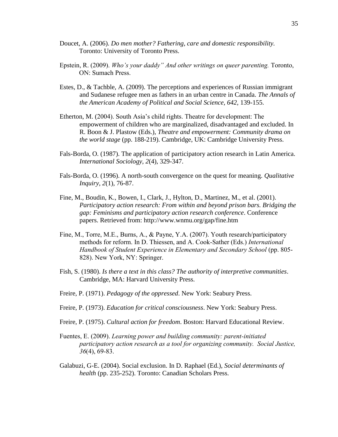- Doucet, A. (2006). *Do men mother? Fathering, care and domestic responsibility.* Toronto: University of Toronto Press.
- Epstein, R. (2009). *Who's your daddy" And other writings on queer parenting.* Toronto, ON: Sumach Press.
- Estes, D., & Tachble, A. (2009). The perceptions and experiences of Russian immigrant and Sudanese refugee men as fathers in an urban centre in Canada. *The Annals of the American Academy of Political and Social Science, 642,* 139-155.
- Etherton, M. (2004). South Asia's child rights. Theatre for development: The empowerment of children who are marginalized, disadvantaged and excluded. In R. Boon & J. Plastow (Eds.), *Theatre and empowerment: Community drama on the world stage* (pp. 188-219). Cambridge, UK: Cambridge University Press.
- Fals-Borda, O. (1987). The application of participatory action research in Latin America. *International Sociology, 2*(4), 329-347.
- Fals-Borda, O. (1996). A north-south convergence on the quest for meaning. *Qualitative Inquiry, 2*(1), 76-87.
- Fine, M., Boudin, K., Bowen, I., Clark, J., Hylton, D., Martinez, M., et al. (2001). *Participatory action research: From within and beyond prison bars. Bridging the gap: Feminisms and participatory action research conference*. Conference papers. Retrieved from: http://www.wnmu.org/gap/fine.htm
- Fine, M., Torre, M.E., Burns, A., & Payne, Y.A. (2007). Youth research/participatory methods for reform. In D. Thiessen, and A. Cook-Sather (Eds.) *International Handbook of Student Experience in Elementary and Secondary School (pp. 805-*828). New York, NY: Springer.
- Fish, S. (1980). *Is there a text in this class? The authority of interpretive communities*. Cambridge, MA: Harvard University Press.
- Freire, P. (1971). *Pedagogy of the oppressed*. New York: Seabury Press.
- Freire, P. (1973). *Education for critical consciousness*. New York: Seabury Press.
- Freire, P. (1975). *Cultural action for freedom*. Boston: Harvard Educational Review.
- Fuentes, E. (2009). *[Learning power and building community: parent-initiated](http://www.amazon.com/Learning-power-building-community-parent-initiated/dp/B0042VEIRY/ref=sr_1_38?ie=UTF8&qid=1361243392&sr=8-38&keywords=participatory+action+research)  [participatory action research as a tool for organizing](http://www.amazon.com/Learning-power-building-community-parent-initiated/dp/B0042VEIRY/ref=sr_1_38?ie=UTF8&qid=1361243392&sr=8-38&keywords=participatory+action+research) community. Social Justice, 36*[\(4\), 69-83.](http://www.amazon.com/Learning-power-building-community-parent-initiated/dp/B0042VEIRY/ref=sr_1_38?ie=UTF8&qid=1361243392&sr=8-38&keywords=participatory+action+research)
- Galabuzi, G-E. (2004). Social exclusion. In D. Raphael (Ed.), *Social determinants of health* (pp. 235-252). Toronto: Canadian Scholars Press.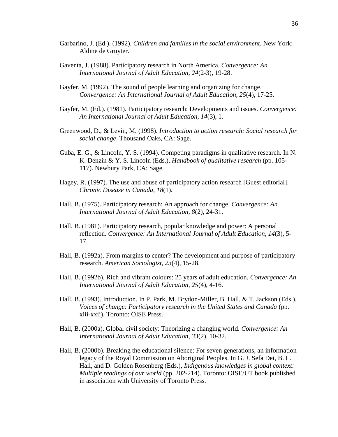- Garbarino, J. (Ed.). (1992). *Children and families in the social environment*. New York: Aldine de Gruyter.
- Gaventa, J. (1988). Participatory research in North America. *Convergence: An International Journal of Adult Education, 24*(2-3), 19-28.
- Gayfer, M. (1992). The sound of people learning and organizing for change. *Convergence: An International Journal of Adult Education, 25*(4), 17-25.
- Gayfer, M. (Ed.). (1981). Participatory research: Developments and issues. *Convergence: An International Journal of Adult Education, 14*(3), 1.
- Greenwood, D., & Levin, M. (1998). *Introduction to action research: Social research for social change*. Thousand Oaks, CA: Sage.
- Guba, E. G., & Lincoln, Y. S. (1994). Competing paradigms in qualitative research. In N. K. Denzin & Y. S. Lincoln (Eds.), *Handbook of qualitative research* (pp. 105- 117). Newbury Park, CA: Sage.
- Hagey, R. (1997). The use and abuse of participatory action research [Guest editorial]. *Chronic Disease in Canada, 18*(1).
- Hall, B. (1975). Participatory research: An approach for change. *Convergence: An International Journal of Adult Education, 8*(2), 24-31.
- Hall, B. (1981). Participatory research, popular knowledge and power: A personal reflection. *Convergence: An International Journal of Adult Education, 14*(3), 5- 17.
- Hall, B. (1992a). From margins to center? The development and purpose of participatory research. *American Sociologist, 23*(4), 15-28.
- Hall, B. (1992b). Rich and vibrant colours: 25 years of adult education. *Convergence: An International Journal of Adult Education, 25*(4), 4-16.
- Hall, B. (1993). Introduction. In P. Park, M. Brydon-Miller, B. Hall, & T. Jackson (Eds.), *Voices of change: Participatory research in the United States and Canada* (pp. xiii-xxii). Toronto: OISE Press.
- Hall, B. (2000a). Global civil society: Theorizing a changing world. *Convergence: An International Journal of Adult Education, 33*(2), 10-32.
- Hall, B. (2000b). Breaking the educational silence: For seven generations, an information legacy of the Royal Commission on Aboriginal Peoples. In G. J. Sefa Dei, B. L. Hall, and D. Golden Rosenberg (Eds.), *Indigenous knowledges in global context: Multiple readings of our world* (pp. 202-214). Toronto: OISE/UT book published in association with University of Toronto Press.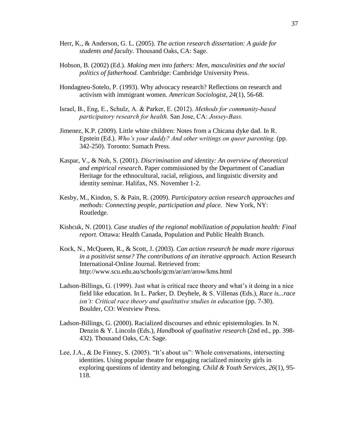- Herr, K., & Anderson, G. L. (2005). *The action research dissertation: A guide for students and faculty*. Thousand Oaks, CA: Sage.
- Hobson, B. (2002) (Ed.). *Making men into fathers: Men, masculinities and the social politics of fatherhood.* Cambridge: Cambridge University Press.
- Hondagneu-Sotelo, P. (1993). Why advocacy research? Reflections on research and activism with immigrant women. *American Sociologist, 24*(1), 56-68.
- Israel, B., Eng, E., Schulz, A. & Parker, E. (2012). *[Methods for community-based](http://www.amazon.com/Methods-Community-Based-Participatory-Research-Health/dp/111802186X/ref=sr_1_37?ie=UTF8&qid=1361243392&sr=8-37&keywords=participatory+action+research)  [participatory research for health.](http://www.amazon.com/Methods-Community-Based-Participatory-Research-Health/dp/111802186X/ref=sr_1_37?ie=UTF8&qid=1361243392&sr=8-37&keywords=participatory+action+research)* San Jose, CA: *Jossey-Bass.*
- Jimenez, K.P. (2009). Little white children: Notes from a Chicana dyke dad. In R. Epstein (Ed.). *Who's your daddy? And other writings on queer parenting.* (pp. 342-250). Toronto: Sumach Press.
- Kaspar, V., & Noh, S. (2001). *Discrimination and identity: An overview of theoretical and empirical research*. Paper commissioned by the Department of Canadian Heritage for the ethnocultural, racial, religious, and linguistic diversity and identity seminar. Halifax, NS. November 1-2.
- Kesby, M., Kindon, S. & Pain, R. (2009). *[Participatory action research approaches and](http://www.amazon.com/Participatory-Research-Approaches-Methods-ebook/dp/B001QEAQUS/ref=sr_1_12?ie=UTF8&qid=1361243143&sr=8-12&keywords=participatory+action+research)  [methods: Connecting people, participation and place.](http://www.amazon.com/Participatory-Research-Approaches-Methods-ebook/dp/B001QEAQUS/ref=sr_1_12?ie=UTF8&qid=1361243143&sr=8-12&keywords=participatory+action+research)* New York, NY: Routledge.
- Kishcuk, N. (2001). *Case studies of the regional mobilization of population health: Final report.* Ottawa: Health Canada, Population and Public Health Branch.
- Kock, N., McQueen, R., & Scott, J. (2003). *Can action research be made more rigorous in a positivist sense? The contributions of an iterative approach*. Action Research International-Online Journal. Retrieved from: http://www.scu.edu.au/schools/gcm/ar/arr/arow/kms.html
- Ladson-Billings, G. (1999). Just what is critical race theory and what's it doing in a nice field like education. In L. Parker, D. Deyhele, & S. Villenas (Eds.), *Race is...race isn't: Critical race theory and qualitative studies in education* (pp. 7-30). Boulder, CO: Westview Press.
- Ladson-Billings, G. (2000). Racialized discourses and ethnic epistemologies. In N. Denzin & Y. Lincoln (Eds.), *Handbook of qualitative research* (2nd ed., pp. 398- 432). Thousand Oaks, CA: Sage.
- Lee, J.A., & De Finney, S. (2005). "It's about us": Whole conversations, intersecting identities. Using popular theatre for engaging racialized minority girls in exploring questions of identity and belonging. *Child & Youth Services, 26*(1), 95- 118.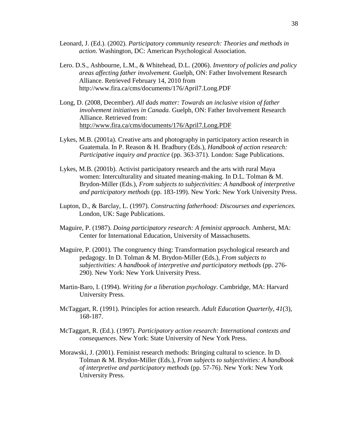- Leonard, J. (Ed.). (2002). *Participatory community research: Theories and methods in action*. Washington, DC: American Psychological Association.
- Lero. D.S., Ashbourne, L.M., & Whitehead, D.L. (2006). *Inventory of policies and policy areas affecting father involvement.* Guelph, ON: Father Involvement Research Alliance. Retrieved February 14, 2010 from http://www.fira.ca/cms/documents/176/April7.Long.PDF
- Long, D. (2008, December). *All dads matter: Towards an inclusive vision of father involvement initiatives in Canada.* Guelph, ON: Father Involvement Research Alliance. Retrieved from: <http://www.fira.ca/cms/documents/176/April7.Long.PDF>
- Lykes, M.B. (2001a). Creative arts and photography in participatory action research in Guatemala. In P. Reason & H. Bradbury (Eds.), *Handbook of action research: Participative inquiry and practice* (pp. 363-371). London: Sage Publications.
- Lykes, M.B. (2001b). Activist participatory research and the arts with rural Maya women: Interculturality and situated meaning-making. In D.L. Tolman & M. Brydon-Miller (Eds.), *From subjects to subjectivities: A handbook of interpretive and participatory methods* (pp. 183-199). New York: New York University Press.
- Lupton, D., & Barclay, L. (1997). *Constructing fatherhood: Discourses and experiences.*  London, UK: Sage Publications.
- Maguire, P. (1987). *Doing participatory research: A feminist approach*. Amherst, MA: Center for International Education, University of Massachusetts.
- Maguire, P. (2001). The congruency thing: Transformation psychological research and pedagogy. In D. Tolman & M. Brydon-Miller (Eds.), *From subjects to subjectivities: A handbook of interpretive and participatory methods* (pp. 276- 290). New York: New York University Press.
- Martin-Baro, I. (1994). *Writing for a liberation psychology*. Cambridge, MA: Harvard University Press.
- McTaggart, R. (1991). Principles for action research. *Adult Education Quarterly, 41*(3), 168-187.
- McTaggart, R. (Ed.). (1997). *Participatory action research: International contexts and consequences*. New York: State University of New York Press.
- Morawski, J. (2001). Feminist research methods: Bringing cultural to science. In D. Tolman & M. Brydon-Miller (Eds.), *From subjects to subjectivities: A handbook of interpretive and participatory methods* (pp. 57-76). New York: New York University Press.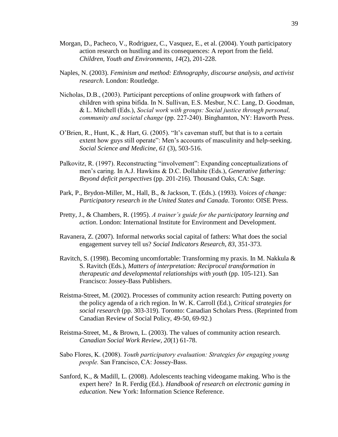- Morgan, D., Pacheco, V., Rodriguez, C., Vasquez, E., et al. (2004). Youth participatory action research on hustling and its consequences: A report from the field. *Children, Youth and Environments, 14*(2), 201-228.
- Naples, N. (2003). *Feminism and method: Ethnography, discourse analysis, and activist research*. London: Routledge.
- Nicholas, D.B., (2003). Participant perceptions of online groupwork with fathers of children with spina bifida. In N. Sullivan, E.S. Mesbur, N.C. Lang, D. Goodman, & L. Mitchell (Eds.), *Social work with groups: Social justice through personal, community and societal change* (pp. 227-240). Binghamton, NY: Haworth Press.
- O'Brien, R., Hunt, K., & Hart, G. (2005). "It's caveman stuff, but that is to a certain extent how guys still operate": Men's accounts of masculinity and help-seeking. *Social Science and Medicine, 61* (3), 503-516.
- Palkovitz, R. (1997). Reconstructing "involvement": Expanding conceptualizations of men's caring. In A.J. Hawkins & D.C. Dollahite (Eds.), *Generative fathering: Beyond deficit perspectives* (pp. 201-216). Thousand Oaks, CA: Sage.
- Park, P., Brydon-Miller, M., Hall, B., & Jackson, T. (Eds.). (1993). *Voices of change: Participatory research in the United States and Canada*. Toronto: OISE Press.
- Pretty, J., & Chambers, R. (1995). *A trainer's guide for the participatory learning and action*. London: International Institute for Environment and Development.
- Ravanera, Z. (2007). Informal networks social capital of fathers: What does the social engagement survey tell us? *Social Indicators Research, 83*, 351-373.
- Ravitch, S. (1998). Becoming uncomfortable: Transforming my praxis. In M. Nakkula & S. Ravitch (Eds.), *Matters of interpretation: Reciprocal transformation in therapeutic and developmental relationships with youth* (pp. 105-121). San Francisco: Jossey-Bass Publishers.
- Reistma-Street, M. (2002). Processes of community action research: Putting poverty on the policy agenda of a rich region. In W. K. Carroll (Ed.), *Critical strategies for social research* (pp. 303-319). Toronto: Canadian Scholars Press. (Reprinted from Canadian Review of Social Policy, 49-50, 69-92.)
- Reistma-Street, M., & Brown, L. (2003). The values of community action research. *Canadian Social Work Review, 20*(1) 61-78.
- Sabo Flores, K. (2008). *Youth participatory evaluation: Strategies for engaging young people.* San Francisco, CA: Jossey-Bass.
- Sanford, K., & Madill, L. (2008). Adolescents teaching videogame making. Who is the expert here? In R. Ferdig (Ed.). *Handbook of research on electronic gaming in education.* New York: Information Science Reference.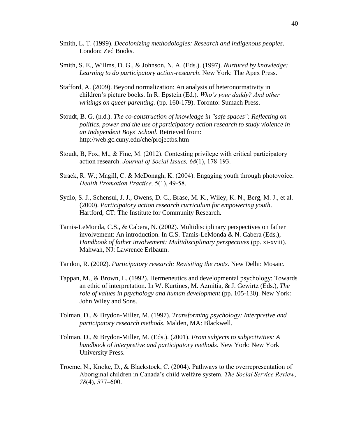- Smith, L. T. (1999). *Decolonizing methodologies: Research and indigenous peoples*. London: Zed Books.
- Smith, S. E., Willms, D. G., & Johnson, N. A. (Eds.). (1997). *Nurtured by knowledge: Learning to do participatory action-research*. New York: The Apex Press.
- Stafford, A. (2009). Beyond normalization: An analysis of heteronormativity in children's picture books. In R. Epstein (Ed.). *Who's your daddy? And other writings on queer parenting.* (pp. 160-179). Toronto: Sumach Press.
- Stoudt, B. G. (n.d.). *The co-construction of knowledge in "safe spaces": Reflecting on politics, power and the use of participatory action research to study violence in an Independent Boys' School.* Retrieved from: http://web.gc.cuny.edu/che/projectbs.htm
- Stoudt, B, Fox, M., & Fine, M. (2012). Contesting privilege with critical participatory action research. *Journal of Social Issues, 68*(1), 178-193.
- Strack, R. W.; Magill, C. & McDonagh, K. (2004). Engaging youth through photovoice. *Health Promotion Practice,* 5(1), 49-58.
- Sydio, S. J., Schensul, J. J., Owens, D. C., Brase, M. K., Wiley, K. N., Berg, M. J., et al. (2000). *Participatory action research curriculum for empowering youth*. Hartford, CT: The Institute for Community Research.
- Tamis-LeMonda, C.S., & Cabera, N. (2002). Multidisciplinary perspectives on father involvement: An introduction. In C.S. Tamis-LeMonda & N. Cabera (Eds.), *Handbook of father involvement: Multidisciplinary perspectives* (pp. xi-xviii). Mahwah, NJ: Lawrence Erlbaum.
- Tandon, R. (2002). *Participatory research: Revisiting the roots*. New Delhi: Mosaic.
- Tappan, M., & Brown, L. (1992). Hermeneutics and developmental psychology: Towards an ethic of interpretation. In W. Kurtines, M. Azmitia, & J. Gewirtz (Eds.), *The role of values in psychology and human development* (pp. 105-130). New York: John Wiley and Sons.
- Tolman, D., & Brydon-Miller, M. (1997). *Transforming psychology: Interpretive and participatory research methods*. Malden, MA: Blackwell.
- Tolman, D., & Brydon-Miller, M. (Eds.). (2001). *From subjects to subjectivities: A handbook of interpretive and participatory methods*. New York: New York University Press.
- Trocme, N., Knoke, D., & Blackstock, C. (2004). Pathways to the overrepresentation of Aboriginal children in Canada's child welfare system. *The Social Service Review*, *78*(4), 577–600.